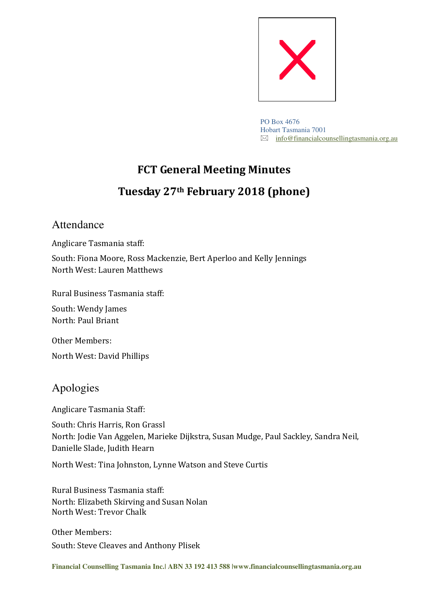

PO Box 4676 Hobart Tasmania 7001  $\boxtimes$  info@financialcounsellingtasmania.org.au

# **FCT General Meeting Minutes Tuesday 27th February 2018 (phone)**

# Attendance

Anglicare Tasmania staff:

South: Fiona Moore, Ross Mackenzie, Bert Aperloo and Kelly Jennings North West: Lauren Matthews

Rural Business Tasmania staff:

South: Wendy James North: Paul Briant

Other Members: North West: David Phillips

# Apologies

Anglicare Tasmania Staff:

South: Chris Harris, Ron Grassl North: Jodie Van Aggelen, Marieke Dijkstra, Susan Mudge, Paul Sackley, Sandra Neil, Danielle Slade, Judith Hearn

North West: Tina Johnston, Lynne Watson and Steve Curtis

Rural Business Tasmania staff: North: Elizabeth Skirving and Susan Nolan North West: Trevor Chalk

Other Members: South: Steve Cleaves and Anthony Plisek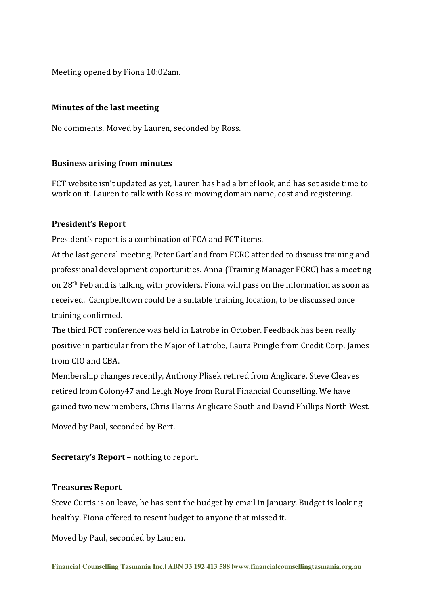Meeting opened by Fiona 10:02am.

## **Minutes of the last meeting**

No comments. Moved by Lauren, seconded by Ross.

# **Business arising from minutes**

FCT website isn't updated as yet, Lauren has had a brief look, and has set aside time to work on it. Lauren to talk with Ross re moving domain name, cost and registering.

# **President's Report**

President's report is a combination of FCA and FCT items.

At the last general meeting, Peter Gartland from FCRC attended to discuss training and professional development opportunities. Anna (Training Manager FCRC) has a meeting on 28th Feb and is talking with providers. Fiona will pass on the information as soon as received. Campbelltown could be a suitable training location, to be discussed once training confirmed.

The third FCT conference was held in Latrobe in October. Feedback has been really positive in particular from the Major of Latrobe, Laura Pringle from Credit Corp, James from CIO and CBA.

Membership changes recently, Anthony Plisek retired from Anglicare, Steve Cleaves retired from Colony47 and Leigh Noye from Rural Financial Counselling. We have gained two new members, Chris Harris Anglicare South and David Phillips North West.

Moved by Paul, seconded by Bert.

**Secretary's Report** – nothing to report.

### **Treasures Report**

Steve Curtis is on leave, he has sent the budget by email in January. Budget is looking healthy. Fiona offered to resent budget to anyone that missed it.

Moved by Paul, seconded by Lauren.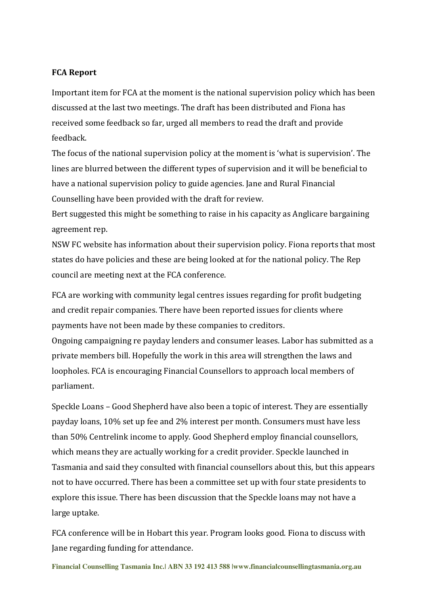#### **FCA Report**

Important item for FCA at the moment is the national supervision policy which has been discussed at the last two meetings. The draft has been distributed and Fiona has received some feedback so far, urged all members to read the draft and provide feedback.

The focus of the national supervision policy at the moment is 'what is supervision'. The lines are blurred between the different types of supervision and it will be beneficial to have a national supervision policy to guide agencies. Jane and Rural Financial Counselling have been provided with the draft for review.

Bert suggested this might be something to raise in his capacity as Anglicare bargaining agreement rep.

NSW FC website has information about their supervision policy. Fiona reports that most states do have policies and these are being looked at for the national policy. The Rep council are meeting next at the FCA conference.

FCA are working with community legal centres issues regarding for profit budgeting and credit repair companies. There have been reported issues for clients where payments have not been made by these companies to creditors.

Ongoing campaigning re payday lenders and consumer leases. Labor has submitted as a private members bill. Hopefully the work in this area will strengthen the laws and loopholes. FCA is encouraging Financial Counsellors to approach local members of parliament.

Speckle Loans – Good Shepherd have also been a topic of interest. They are essentially payday loans, 10% set up fee and 2% interest per month. Consumers must have less than 50% Centrelink income to apply. Good Shepherd employ financial counsellors, which means they are actually working for a credit provider. Speckle launched in Tasmania and said they consulted with financial counsellors about this, but this appears not to have occurred. There has been a committee set up with four state presidents to explore this issue. There has been discussion that the Speckle loans may not have a large uptake.

FCA conference will be in Hobart this year. Program looks good. Fiona to discuss with Jane regarding funding for attendance.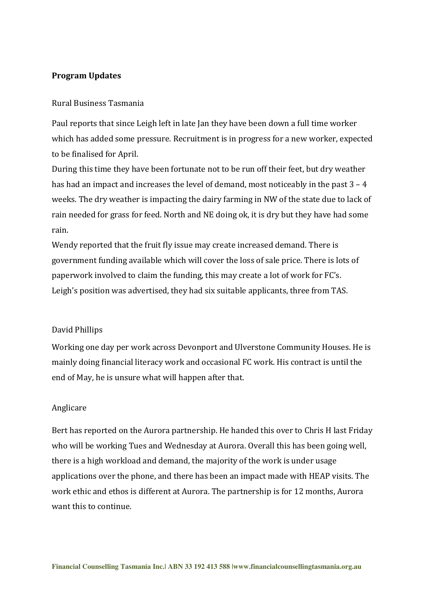#### **Program Updates**

#### Rural Business Tasmania

Paul reports that since Leigh left in late Jan they have been down a full time worker which has added some pressure. Recruitment is in progress for a new worker, expected to be finalised for April.

During this time they have been fortunate not to be run off their feet, but dry weather has had an impact and increases the level of demand, most noticeably in the past  $3 - 4$ weeks. The dry weather is impacting the dairy farming in NW of the state due to lack of rain needed for grass for feed. North and NE doing ok, it is dry but they have had some rain.

Wendy reported that the fruit fly issue may create increased demand. There is government funding available which will cover the loss of sale price. There is lots of paperwork involved to claim the funding, this may create a lot of work for FC's. Leigh's position was advertised, they had six suitable applicants, three from TAS.

#### David Phillips

Working one day per work across Devonport and Ulverstone Community Houses. He is mainly doing financial literacy work and occasional FC work. His contract is until the end of May, he is unsure what will happen after that.

#### Anglicare

Bert has reported on the Aurora partnership. He handed this over to Chris H last Friday who will be working Tues and Wednesday at Aurora. Overall this has been going well, there is a high workload and demand, the majority of the work is under usage applications over the phone, and there has been an impact made with HEAP visits. The work ethic and ethos is different at Aurora. The partnership is for 12 months, Aurora want this to continue.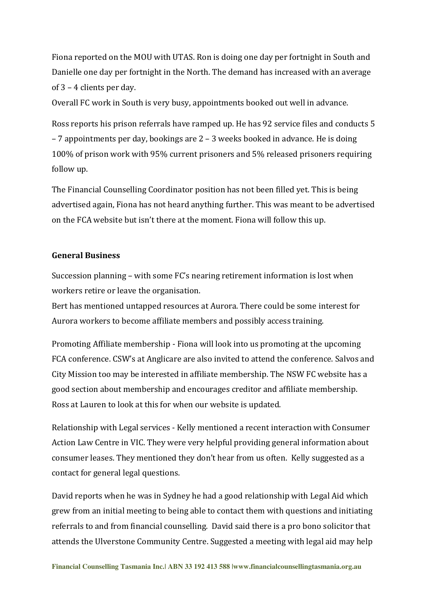Fiona reported on the MOU with UTAS. Ron is doing one day per fortnight in South and Danielle one day per fortnight in the North. The demand has increased with an average of 3 – 4 clients per day.

Overall FC work in South is very busy, appointments booked out well in advance.

Ross reports his prison referrals have ramped up. He has 92 service files and conducts 5 – 7 appointments per day, bookings are 2 – 3 weeks booked in advance. He is doing 100% of prison work with 95% current prisoners and 5% released prisoners requiring follow up.

The Financial Counselling Coordinator position has not been filled yet. This is being advertised again, Fiona has not heard anything further. This was meant to be advertised on the FCA website but isn't there at the moment. Fiona will follow this up.

#### **General Business**

Succession planning – with some FC's nearing retirement information is lost when workers retire or leave the organisation.

Bert has mentioned untapped resources at Aurora. There could be some interest for Aurora workers to become affiliate members and possibly access training.

Promoting Affiliate membership - Fiona will look into us promoting at the upcoming FCA conference. CSW's at Anglicare are also invited to attend the conference. Salvos and City Mission too may be interested in affiliate membership. The NSW FC website has a good section about membership and encourages creditor and affiliate membership. Ross at Lauren to look at this for when our website is updated.

Relationship with Legal services - Kelly mentioned a recent interaction with Consumer Action Law Centre in VIC. They were very helpful providing general information about consumer leases. They mentioned they don't hear from us often. Kelly suggested as a contact for general legal questions.

David reports when he was in Sydney he had a good relationship with Legal Aid which grew from an initial meeting to being able to contact them with questions and initiating referrals to and from financial counselling. David said there is a pro bono solicitor that attends the Ulverstone Community Centre. Suggested a meeting with legal aid may help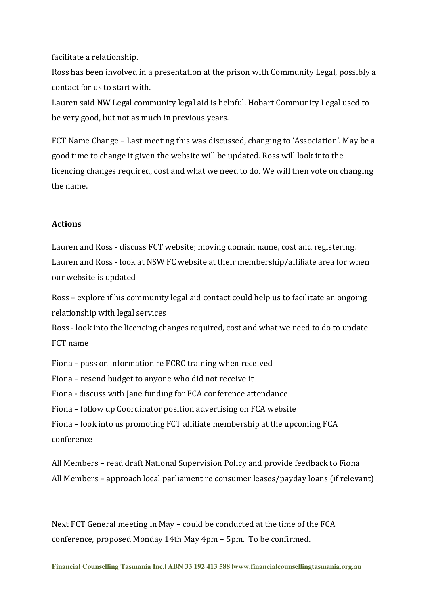facilitate a relationship.

Ross has been involved in a presentation at the prison with Community Legal, possibly a contact for us to start with.

Lauren said NW Legal community legal aid is helpful. Hobart Community Legal used to be very good, but not as much in previous years.

FCT Name Change – Last meeting this was discussed, changing to 'Association'. May be a good time to change it given the website will be updated. Ross will look into the licencing changes required, cost and what we need to do. We will then vote on changing the name.

#### **Actions**

Lauren and Ross - discuss FCT website; moving domain name, cost and registering. Lauren and Ross - look at NSW FC website at their membership/affiliate area for when our website is updated

Ross – explore if his community legal aid contact could help us to facilitate an ongoing relationship with legal services

Ross - look into the licencing changes required, cost and what we need to do to update FCT name

Fiona – pass on information re FCRC training when received Fiona – resend budget to anyone who did not receive it Fiona - discuss with Jane funding for FCA conference attendance Fiona – follow up Coordinator position advertising on FCA website Fiona – look into us promoting FCT affiliate membership at the upcoming FCA conference

All Members – read draft National Supervision Policy and provide feedback to Fiona All Members – approach local parliament re consumer leases/payday loans (if relevant)

Next FCT General meeting in May – could be conducted at the time of the FCA conference, proposed Monday 14th May 4pm – 5pm. To be confirmed.